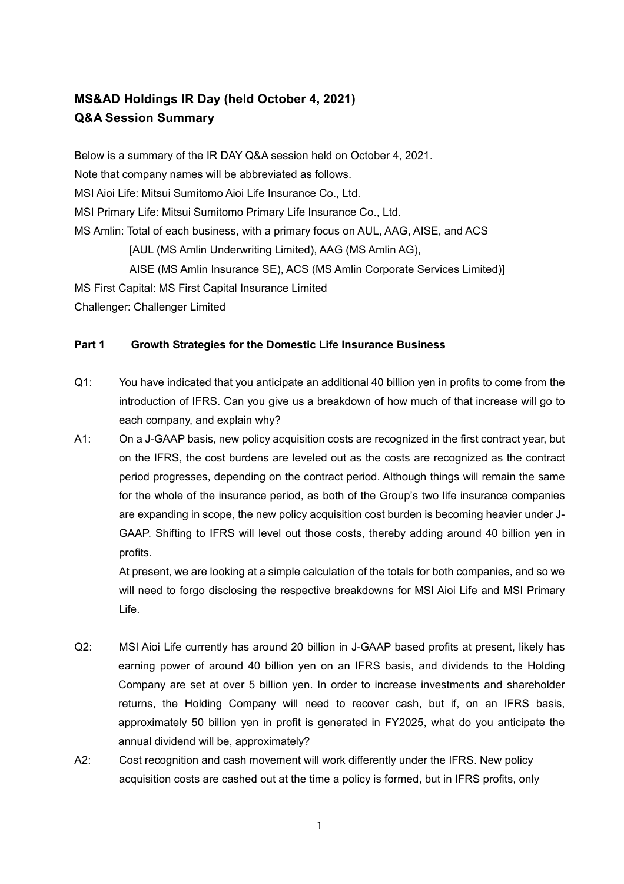## **MS&AD Holdings IR Day (held October 4, 2021) Q&A Session Summary**

Below is a summary of the IR DAY Q&A session held on October 4, 2021. Note that company names will be abbreviated as follows. MSI Aioi Life: Mitsui Sumitomo Aioi Life Insurance Co., Ltd. MSI Primary Life: Mitsui Sumitomo Primary Life Insurance Co., Ltd. MS Amlin: Total of each business, with a primary focus on AUL, AAG, AISE, and ACS [AUL (MS Amlin Underwriting Limited), AAG (MS Amlin AG), AISE (MS Amlin Insurance SE), ACS (MS Amlin Corporate Services Limited)] MS First Capital: MS First Capital Insurance Limited

Challenger: Challenger Limited

## **Part 1 Growth Strategies for the Domestic Life Insurance Business**

- Q1: You have indicated that you anticipate an additional 40 billion yen in profits to come from the introduction of IFRS. Can you give us a breakdown of how much of that increase will go to each company, and explain why?
- A1: On a J-GAAP basis, new policy acquisition costs are recognized in the first contract year, but on the IFRS, the cost burdens are leveled out as the costs are recognized as the contract period progresses, depending on the contract period. Although things will remain the same for the whole of the insurance period, as both of the Group's two life insurance companies are expanding in scope, the new policy acquisition cost burden is becoming heavier under J-GAAP. Shifting to IFRS will level out those costs, thereby adding around 40 billion yen in profits.

At present, we are looking at a simple calculation of the totals for both companies, and so we will need to forgo disclosing the respective breakdowns for MSI Aioi Life and MSI Primary Life.

- Q2: MSI Aioi Life currently has around 20 billion in J-GAAP based profits at present, likely has earning power of around 40 billion yen on an IFRS basis, and dividends to the Holding Company are set at over 5 billion yen. In order to increase investments and shareholder returns, the Holding Company will need to recover cash, but if, on an IFRS basis, approximately 50 billion yen in profit is generated in FY2025, what do you anticipate the annual dividend will be, approximately?
- A2: Cost recognition and cash movement will work differently under the IFRS. New policy acquisition costs are cashed out at the time a policy is formed, but in IFRS profits, only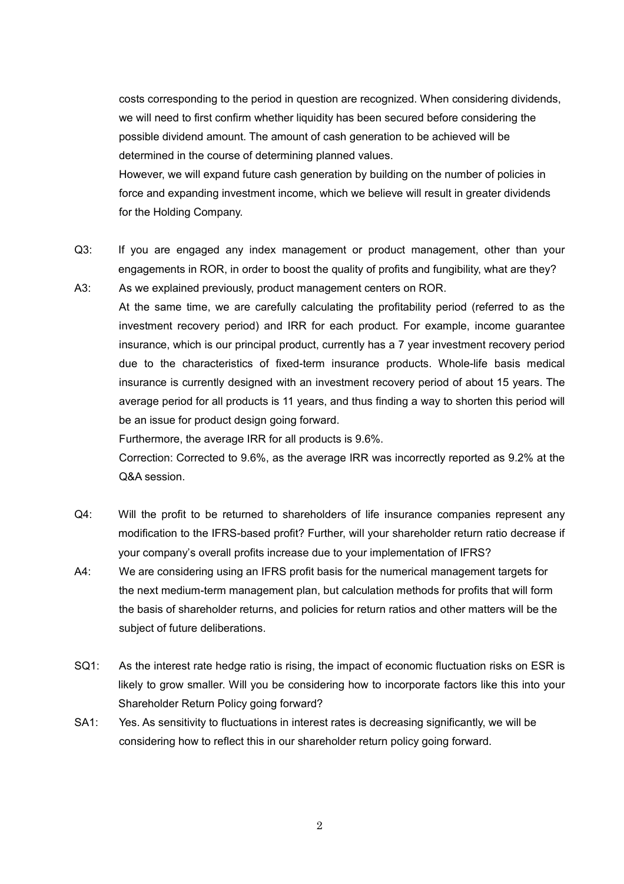costs corresponding to the period in question are recognized. When considering dividends, we will need to first confirm whether liquidity has been secured before considering the possible dividend amount. The amount of cash generation to be achieved will be determined in the course of determining planned values.

However, we will expand future cash generation by building on the number of policies in force and expanding investment income, which we believe will result in greater dividends for the Holding Company.

- Q3: If you are engaged any index management or product management, other than your engagements in ROR, in order to boost the quality of profits and fungibility, what are they?
- A3: As we explained previously, product management centers on ROR. At the same time, we are carefully calculating the profitability period (referred to as the investment recovery period) and IRR for each product. For example, income guarantee insurance, which is our principal product, currently has a 7 year investment recovery period due to the characteristics of fixed-term insurance products. Whole-life basis medical insurance is currently designed with an investment recovery period of about 15 years. The average period for all products is 11 years, and thus finding a way to shorten this period will be an issue for product design going forward.

Furthermore, the average IRR for all products is 9.6%.

Correction: Corrected to 9.6%, as the average IRR was incorrectly reported as 9.2% at the Q&A session.

- Q4: Will the profit to be returned to shareholders of life insurance companies represent any modification to the IFRS-based profit? Further, will your shareholder return ratio decrease if your company's overall profits increase due to your implementation of IFRS?
- A4: We are considering using an IFRS profit basis for the numerical management targets for the next medium-term management plan, but calculation methods for profits that will form the basis of shareholder returns, and policies for return ratios and other matters will be the subject of future deliberations.
- SQ1: As the interest rate hedge ratio is rising, the impact of economic fluctuation risks on ESR is likely to grow smaller. Will you be considering how to incorporate factors like this into your Shareholder Return Policy going forward?
- SA1: Yes. As sensitivity to fluctuations in interest rates is decreasing significantly, we will be considering how to reflect this in our shareholder return policy going forward.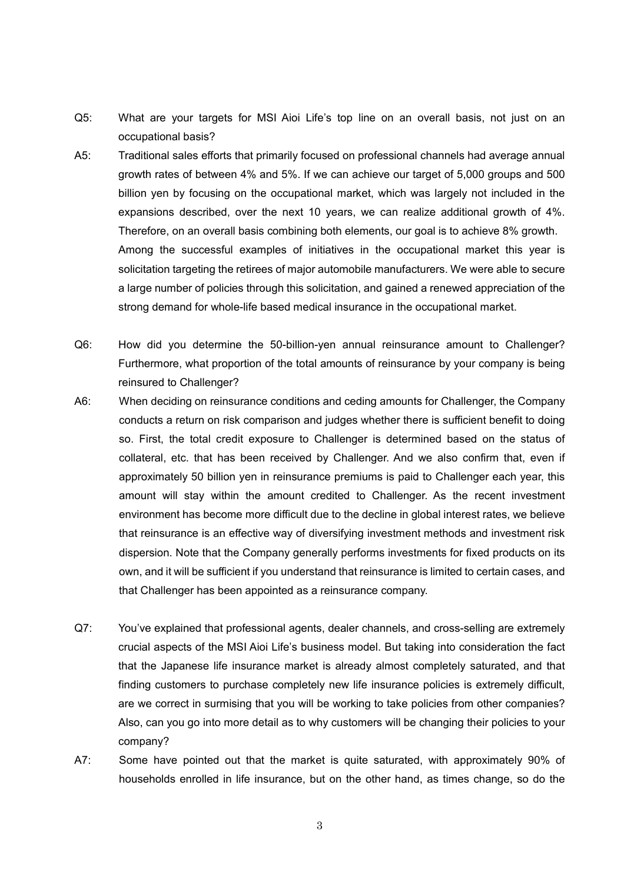- Q5: What are your targets for MSI Aioi Life's top line on an overall basis, not just on an occupational basis?
- A5: Traditional sales efforts that primarily focused on professional channels had average annual growth rates of between 4% and 5%. If we can achieve our target of 5,000 groups and 500 billion yen by focusing on the occupational market, which was largely not included in the expansions described, over the next 10 years, we can realize additional growth of 4%. Therefore, on an overall basis combining both elements, our goal is to achieve 8% growth. Among the successful examples of initiatives in the occupational market this year is solicitation targeting the retirees of major automobile manufacturers. We were able to secure a large number of policies through this solicitation, and gained a renewed appreciation of the strong demand for whole-life based medical insurance in the occupational market.
- Q6: How did you determine the 50-billion-yen annual reinsurance amount to Challenger? Furthermore, what proportion of the total amounts of reinsurance by your company is being reinsured to Challenger?
- A6: When deciding on reinsurance conditions and ceding amounts for Challenger, the Company conducts a return on risk comparison and judges whether there is sufficient benefit to doing so. First, the total credit exposure to Challenger is determined based on the status of collateral, etc. that has been received by Challenger. And we also confirm that, even if approximately 50 billion yen in reinsurance premiums is paid to Challenger each year, this amount will stay within the amount credited to Challenger. As the recent investment environment has become more difficult due to the decline in global interest rates, we believe that reinsurance is an effective way of diversifying investment methods and investment risk dispersion. Note that the Company generally performs investments for fixed products on its own, and it will be sufficient if you understand that reinsurance is limited to certain cases, and that Challenger has been appointed as a reinsurance company.
- Q7: You've explained that professional agents, dealer channels, and cross-selling are extremely crucial aspects of the MSI Aioi Life's business model. But taking into consideration the fact that the Japanese life insurance market is already almost completely saturated, and that finding customers to purchase completely new life insurance policies is extremely difficult, are we correct in surmising that you will be working to take policies from other companies? Also, can you go into more detail as to why customers will be changing their policies to your company?
- A7: Some have pointed out that the market is quite saturated, with approximately 90% of households enrolled in life insurance, but on the other hand, as times change, so do the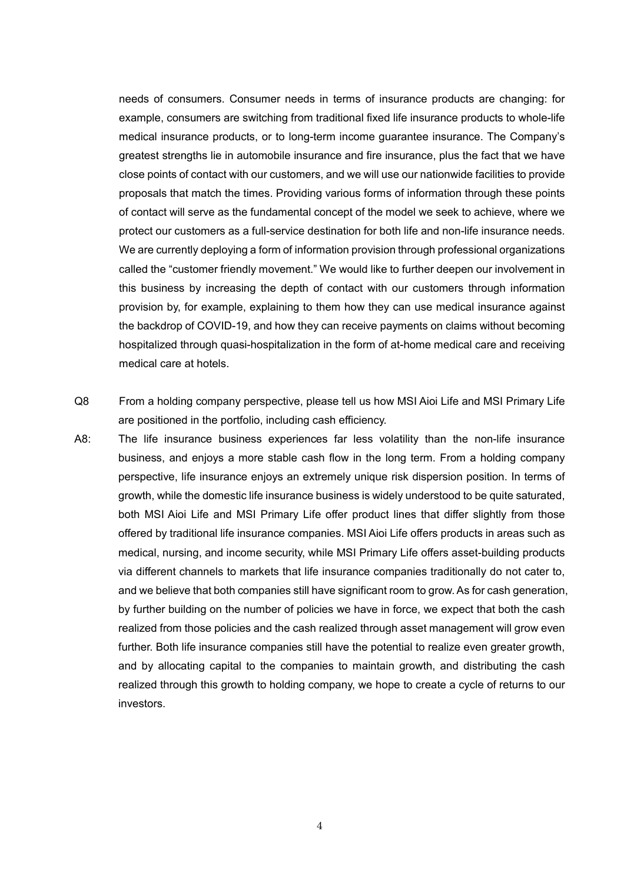needs of consumers. Consumer needs in terms of insurance products are changing: for example, consumers are switching from traditional fixed life insurance products to whole-life medical insurance products, or to long-term income guarantee insurance. The Company's greatest strengths lie in automobile insurance and fire insurance, plus the fact that we have close points of contact with our customers, and we will use our nationwide facilities to provide proposals that match the times. Providing various forms of information through these points of contact will serve as the fundamental concept of the model we seek to achieve, where we protect our customers as a full-service destination for both life and non-life insurance needs. We are currently deploying a form of information provision through professional organizations called the "customer friendly movement." We would like to further deepen our involvement in this business by increasing the depth of contact with our customers through information provision by, for example, explaining to them how they can use medical insurance against the backdrop of COVID-19, and how they can receive payments on claims without becoming hospitalized through quasi-hospitalization in the form of at-home medical care and receiving medical care at hotels.

- Q8 From a holding company perspective, please tell us how MSI Aioi Life and MSI Primary Life are positioned in the portfolio, including cash efficiency.
- A8: The life insurance business experiences far less volatility than the non-life insurance business, and enjoys a more stable cash flow in the long term. From a holding company perspective, life insurance enjoys an extremely unique risk dispersion position. In terms of growth, while the domestic life insurance business is widely understood to be quite saturated, both MSI Aioi Life and MSI Primary Life offer product lines that differ slightly from those offered by traditional life insurance companies. MSI Aioi Life offers products in areas such as medical, nursing, and income security, while MSI Primary Life offers asset-building products via different channels to markets that life insurance companies traditionally do not cater to, and we believe that both companies still have significant room to grow. As for cash generation, by further building on the number of policies we have in force, we expect that both the cash realized from those policies and the cash realized through asset management will grow even further. Both life insurance companies still have the potential to realize even greater growth, and by allocating capital to the companies to maintain growth, and distributing the cash realized through this growth to holding company, we hope to create a cycle of returns to our investors.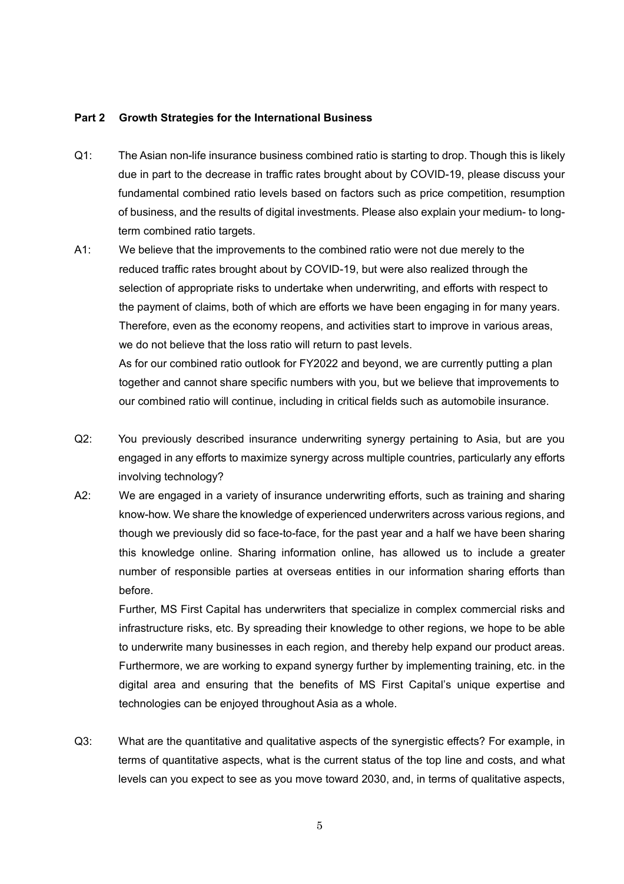## **Part 2 Growth Strategies for the International Business**

- Q1: The Asian non-life insurance business combined ratio is starting to drop. Though this is likely due in part to the decrease in traffic rates brought about by COVID-19, please discuss your fundamental combined ratio levels based on factors such as price competition, resumption of business, and the results of digital investments. Please also explain your medium- to longterm combined ratio targets.
- A1: We believe that the improvements to the combined ratio were not due merely to the reduced traffic rates brought about by COVID-19, but were also realized through the selection of appropriate risks to undertake when underwriting, and efforts with respect to the payment of claims, both of which are efforts we have been engaging in for many years. Therefore, even as the economy reopens, and activities start to improve in various areas, we do not believe that the loss ratio will return to past levels. As for our combined ratio outlook for FY2022 and beyond, we are currently putting a plan together and cannot share specific numbers with you, but we believe that improvements to our combined ratio will continue, including in critical fields such as automobile insurance.
- Q2: You previously described insurance underwriting synergy pertaining to Asia, but are you engaged in any efforts to maximize synergy across multiple countries, particularly any efforts involving technology?
- A2: We are engaged in a variety of insurance underwriting efforts, such as training and sharing know-how. We share the knowledge of experienced underwriters across various regions, and though we previously did so face-to-face, for the past year and a half we have been sharing this knowledge online. Sharing information online, has allowed us to include a greater number of responsible parties at overseas entities in our information sharing efforts than before.

Further, MS First Capital has underwriters that specialize in complex commercial risks and infrastructure risks, etc. By spreading their knowledge to other regions, we hope to be able to underwrite many businesses in each region, and thereby help expand our product areas. Furthermore, we are working to expand synergy further by implementing training, etc. in the digital area and ensuring that the benefits of MS First Capital's unique expertise and technologies can be enjoyed throughout Asia as a whole.

Q3: What are the quantitative and qualitative aspects of the synergistic effects? For example, in terms of quantitative aspects, what is the current status of the top line and costs, and what levels can you expect to see as you move toward 2030, and, in terms of qualitative aspects,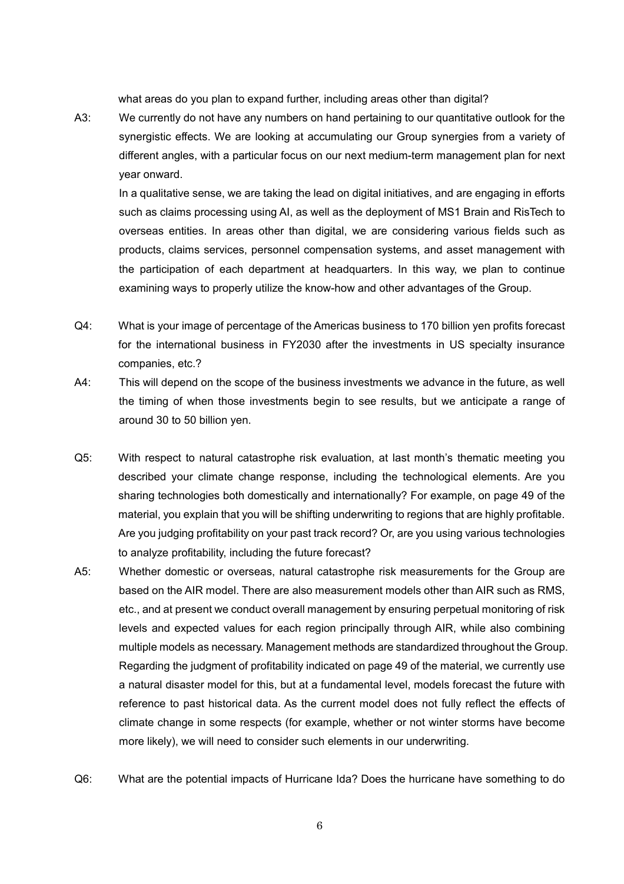what areas do you plan to expand further, including areas other than digital?

A3: We currently do not have any numbers on hand pertaining to our quantitative outlook for the synergistic effects. We are looking at accumulating our Group synergies from a variety of different angles, with a particular focus on our next medium-term management plan for next year onward.

In a qualitative sense, we are taking the lead on digital initiatives, and are engaging in efforts such as claims processing using AI, as well as the deployment of MS1 Brain and RisTech to overseas entities. In areas other than digital, we are considering various fields such as products, claims services, personnel compensation systems, and asset management with the participation of each department at headquarters. In this way, we plan to continue examining ways to properly utilize the know-how and other advantages of the Group.

- Q4: What is your image of percentage of the Americas business to 170 billion yen profits forecast for the international business in FY2030 after the investments in US specialty insurance companies, etc.?
- A4: This will depend on the scope of the business investments we advance in the future, as well the timing of when those investments begin to see results, but we anticipate a range of around 30 to 50 billion yen.
- Q5: With respect to natural catastrophe risk evaluation, at last month's thematic meeting you described your climate change response, including the technological elements. Are you sharing technologies both domestically and internationally? For example, on page 49 of the material, you explain that you will be shifting underwriting to regions that are highly profitable. Are you judging profitability on your past track record? Or, are you using various technologies to analyze profitability, including the future forecast?
- A5: Whether domestic or overseas, natural catastrophe risk measurements for the Group are based on the AIR model. There are also measurement models other than AIR such as RMS, etc., and at present we conduct overall management by ensuring perpetual monitoring of risk levels and expected values for each region principally through AIR, while also combining multiple models as necessary. Management methods are standardized throughout the Group. Regarding the judgment of profitability indicated on page 49 of the material, we currently use a natural disaster model for this, but at a fundamental level, models forecast the future with reference to past historical data. As the current model does not fully reflect the effects of climate change in some respects (for example, whether or not winter storms have become more likely), we will need to consider such elements in our underwriting.
- Q6: What are the potential impacts of Hurricane Ida? Does the hurricane have something to do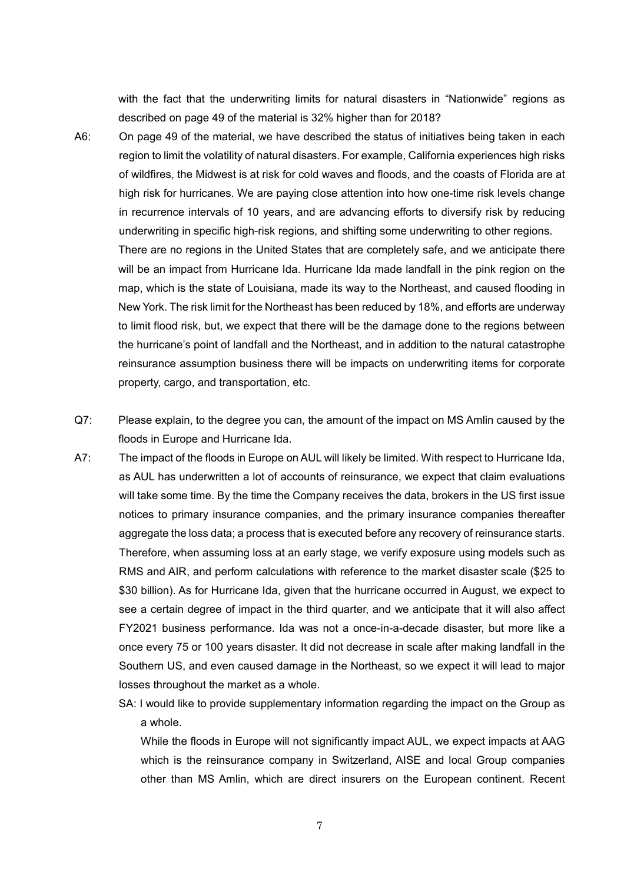with the fact that the underwriting limits for natural disasters in "Nationwide" regions as described on page 49 of the material is 32% higher than for 2018?

A6: On page 49 of the material, we have described the status of initiatives being taken in each region to limit the volatility of natural disasters. For example, California experiences high risks of wildfires, the Midwest is at risk for cold waves and floods, and the coasts of Florida are at high risk for hurricanes. We are paying close attention into how one-time risk levels change in recurrence intervals of 10 years, and are advancing efforts to diversify risk by reducing underwriting in specific high-risk regions, and shifting some underwriting to other regions.

There are no regions in the United States that are completely safe, and we anticipate there will be an impact from Hurricane Ida. Hurricane Ida made landfall in the pink region on the map, which is the state of Louisiana, made its way to the Northeast, and caused flooding in New York. The risk limit for the Northeast has been reduced by 18%, and efforts are underway to limit flood risk, but, we expect that there will be the damage done to the regions between the hurricane's point of landfall and the Northeast, and in addition to the natural catastrophe reinsurance assumption business there will be impacts on underwriting items for corporate property, cargo, and transportation, etc.

- Q7: Please explain, to the degree you can, the amount of the impact on MS Amlin caused by the floods in Europe and Hurricane Ida.
- A7: The impact of the floods in Europe on AUL will likely be limited. With respect to Hurricane Ida, as AUL has underwritten a lot of accounts of reinsurance, we expect that claim evaluations will take some time. By the time the Company receives the data, brokers in the US first issue notices to primary insurance companies, and the primary insurance companies thereafter aggregate the loss data; a process that is executed before any recovery of reinsurance starts. Therefore, when assuming loss at an early stage, we verify exposure using models such as RMS and AIR, and perform calculations with reference to the market disaster scale (\$25 to \$30 billion). As for Hurricane Ida, given that the hurricane occurred in August, we expect to see a certain degree of impact in the third quarter, and we anticipate that it will also affect FY2021 business performance. Ida was not a once-in-a-decade disaster, but more like a once every 75 or 100 years disaster. It did not decrease in scale after making landfall in the Southern US, and even caused damage in the Northeast, so we expect it will lead to major losses throughout the market as a whole.
	- SA: I would like to provide supplementary information regarding the impact on the Group as a whole.

While the floods in Europe will not significantly impact AUL, we expect impacts at AAG which is the reinsurance company in Switzerland, AISE and local Group companies other than MS Amlin, which are direct insurers on the European continent. Recent

7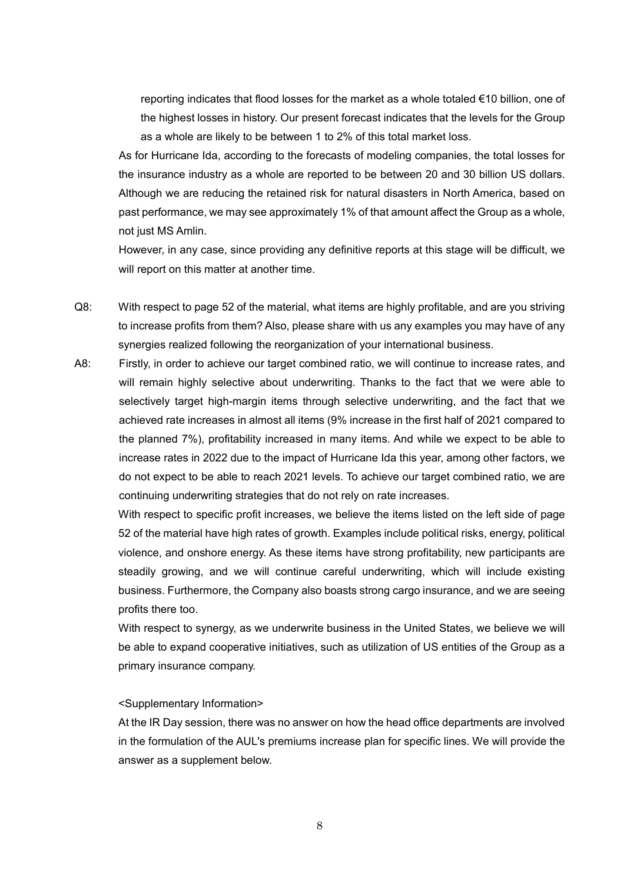reporting indicates that flood losses for the market as a whole totaled €10 billion, one of the highest losses in history. Our present forecast indicates that the levels for the Group as a whole are likely to be between 1 to 2% of this total market loss.

As for Hurricane Ida, according to the forecasts of modeling companies, the total losses for the insurance industry as a whole are reported to be between 20 and 30 billion US dollars. Although we are reducing the retained risk for natural disasters in North America, based on past performance, we may see approximately 1% of that amount affect the Group as a whole, not just MS Amlin.

However, in any case, since providing any definitive reports at this stage will be difficult, we will report on this matter at another time.

- Q8: With respect to page 52 of the material, what items are highly profitable, and are you striving to increase profits from them? Also, please share with us any examples you may have of any synergies realized following the reorganization of your international business.
- A8: Firstly, in order to achieve our target combined ratio, we will continue to increase rates, and will remain highly selective about underwriting. Thanks to the fact that we were able to selectively target high-margin items through selective underwriting, and the fact that we achieved rate increases in almost all items (9% increase in the first half of 2021 compared to the planned 7%), profitability increased in many items. And while we expect to be able to increase rates in 2022 due to the impact of Hurricane Ida this year, among other factors, we do not expect to be able to reach 2021 levels. To achieve our target combined ratio, we are continuing underwriting strategies that do not rely on rate increases.

With respect to specific profit increases, we believe the items listed on the left side of page 52 of the material have high rates of growth. Examples include political risks, energy, political violence, and onshore energy. As these items have strong profitability, new participants are steadily growing, and we will continue careful underwriting, which will include existing business. Furthermore, the Company also boasts strong cargo insurance, and we are seeing profits there too.

With respect to synergy, as we underwrite business in the United States, we believe we will be able to expand cooperative initiatives, such as utilization of US entities of the Group as a primary insurance company.

## <Supplementary Information>

At the IR Day session, there was no answer on how the head office departments are involved in the formulation of the AUL's premiums increase plan for specific lines. We will provide the answer as a supplement below.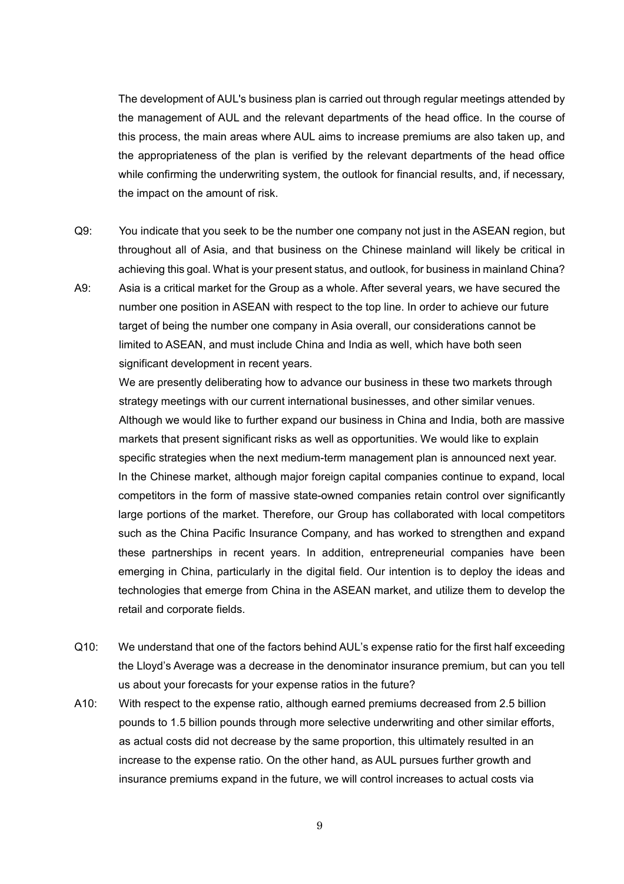The development of AUL's business plan is carried out through regular meetings attended by the management of AUL and the relevant departments of the head office. In the course of this process, the main areas where AUL aims to increase premiums are also taken up, and the appropriateness of the plan is verified by the relevant departments of the head office while confirming the underwriting system, the outlook for financial results, and, if necessary, the impact on the amount of risk.

- Q9: You indicate that you seek to be the number one company not just in the ASEAN region, but throughout all of Asia, and that business on the Chinese mainland will likely be critical in achieving this goal. What is your present status, and outlook, for business in mainland China?
- A9: Asia is a critical market for the Group as a whole. After several years, we have secured the number one position in ASEAN with respect to the top line. In order to achieve our future target of being the number one company in Asia overall, our considerations cannot be limited to ASEAN, and must include China and India as well, which have both seen significant development in recent years.

We are presently deliberating how to advance our business in these two markets through strategy meetings with our current international businesses, and other similar venues. Although we would like to further expand our business in China and India, both are massive markets that present significant risks as well as opportunities. We would like to explain specific strategies when the next medium-term management plan is announced next year. In the Chinese market, although major foreign capital companies continue to expand, local competitors in the form of massive state-owned companies retain control over significantly large portions of the market. Therefore, our Group has collaborated with local competitors such as the China Pacific Insurance Company, and has worked to strengthen and expand these partnerships in recent years. In addition, entrepreneurial companies have been emerging in China, particularly in the digital field. Our intention is to deploy the ideas and technologies that emerge from China in the ASEAN market, and utilize them to develop the retail and corporate fields.

- Q10: We understand that one of the factors behind AUL's expense ratio for the first half exceeding the Lloyd's Average was a decrease in the denominator insurance premium, but can you tell us about your forecasts for your expense ratios in the future?
- A10: With respect to the expense ratio, although earned premiums decreased from 2.5 billion pounds to 1.5 billion pounds through more selective underwriting and other similar efforts, as actual costs did not decrease by the same proportion, this ultimately resulted in an increase to the expense ratio. On the other hand, as AUL pursues further growth and insurance premiums expand in the future, we will control increases to actual costs via